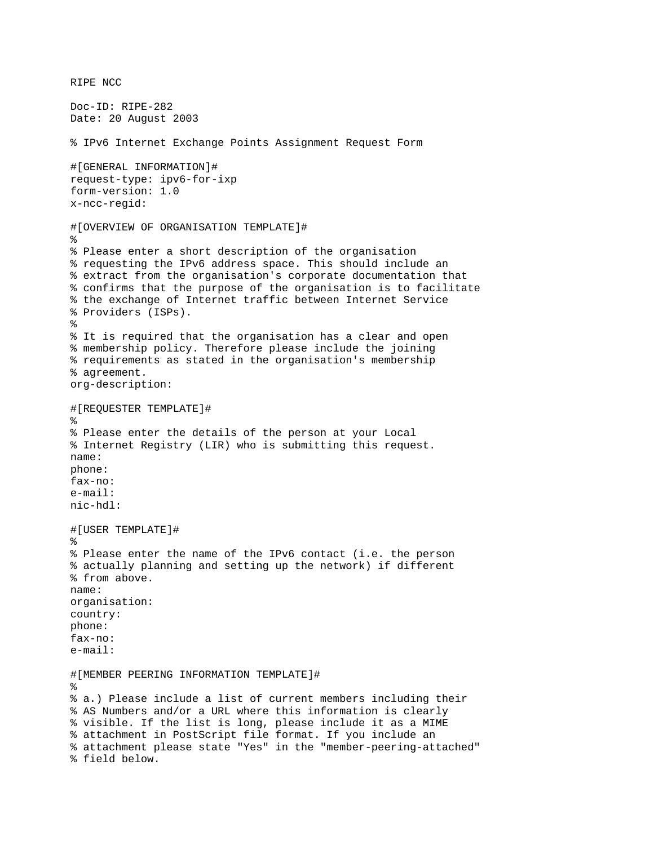```
RIPE NCC 
Doc-ID: RIPE-282 
Date: 20 August 2003 
% IPv6 Internet Exchange Points Assignment Request Form 
#[GENERAL INFORMATION]# 
request-type: ipv6-for-ixp 
form-version: 1.0 
x-ncc-regid: 
#[OVERVIEW OF ORGANISATION TEMPLATE]# 
% 
% Please enter a short description of the organisation 
% requesting the IPv6 address space. This should include an 
% extract from the organisation's corporate documentation that 
% confirms that the purpose of the organisation is to facilitate 
% the exchange of Internet traffic between Internet Service 
% Providers (ISPs). 
% 
% It is required that the organisation has a clear and open 
% membership policy. Therefore please include the joining 
% requirements as stated in the organisation's membership 
% agreement. 
org-description: 
#[REQUESTER TEMPLATE]# 
% 
% Please enter the details of the person at your Local 
% Internet Registry (LIR) who is submitting this request. 
name: 
phone: 
fax-no: 
e-mail: 
nic-hdl: 
#[USER TEMPLATE]# 
% 
% Please enter the name of the IPv6 contact (i.e. the person 
% actually planning and setting up the network) if different 
% from above. 
name: 
organisation: 
country: 
phone: 
fax-no: 
e-mail: 
#[MEMBER PEERING INFORMATION TEMPLATE]# 
% 
% a.) Please include a list of current members including their 
% AS Numbers and/or a URL where this information is clearly 
% visible. If the list is long, please include it as a MIME 
% attachment in PostScript file format. If you include an 
% attachment please state "Yes" in the "member-peering-attached" 
% field below.
```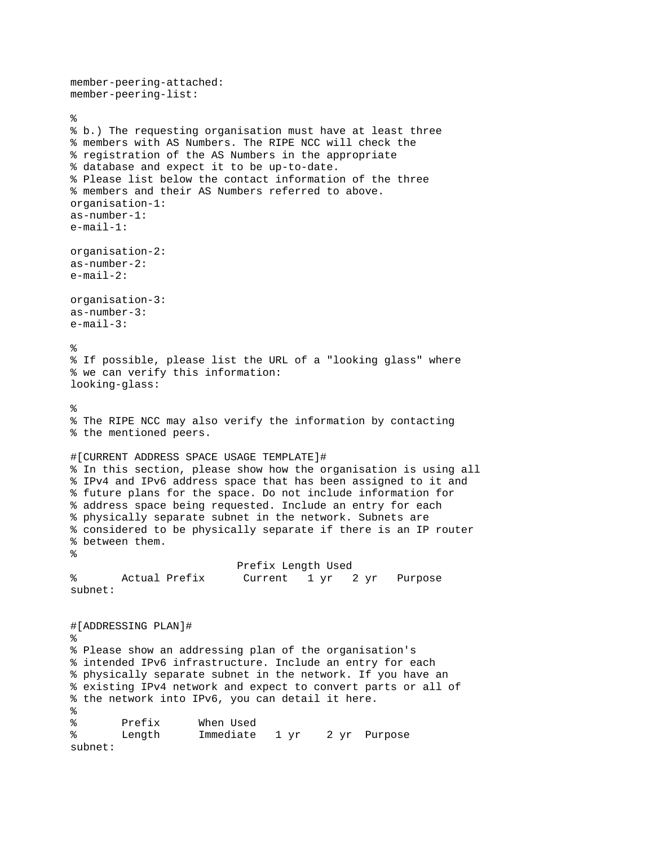```
member-peering-attached: 
member-peering-list: 
% 
% b.) The requesting organisation must have at least three 
% members with AS Numbers. The RIPE NCC will check the 
% registration of the AS Numbers in the appropriate 
% database and expect it to be up-to-date. 
% Please list below the contact information of the three 
% members and their AS Numbers referred to above. 
organisation-1: 
as-number-1: 
e-mail-1: 
organisation-2: 
as-number-2: 
e-mail-2: 
organisation-3: 
as-number-3: 
e-mail-3: 
% 
% If possible, please list the URL of a "looking glass" where 
% we can verify this information: 
looking-glass: 
% 
% The RIPE NCC may also verify the information by contacting 
% the mentioned peers. 
#[CURRENT ADDRESS SPACE USAGE TEMPLATE]# 
% In this section, please show how the organisation is using all 
% IPv4 and IPv6 address space that has been assigned to it and 
% future plans for the space. Do not include information for 
% address space being requested. Include an entry for each 
% physically separate subnet in the network. Subnets are 
% considered to be physically separate if there is an IP router 
% between them. 
% 
                           Prefix Length Used 
% Actual Prefix Current 1 yr 2 yr Purpose 
subnet: 
#[ADDRESSING PLAN]# 
% 
% Please show an addressing plan of the organisation's 
% intended IPv6 infrastructure. Include an entry for each 
% physically separate subnet in the network. If you have an 
% existing IPv4 network and expect to convert parts or all of 
% the network into IPv6, you can detail it here. 
% 
% Prefix When Used 
% Length Immediate 1 yr 2 yr Purpose 
subnet:
```